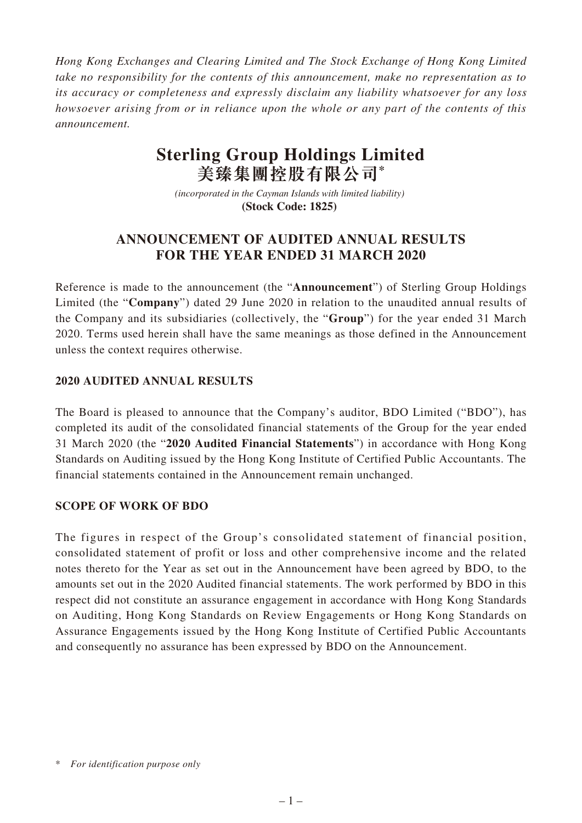*Hong Kong Exchanges and Clearing Limited and The Stock Exchange of Hong Kong Limited take no responsibility for the contents of this announcement, make no representation as to its accuracy or completeness and expressly disclaim any liability whatsoever for any loss howsoever arising from or in reliance upon the whole or any part of the contents of this announcement.*

# **Sterling Group Holdings Limited 美臻集團控股有限公司\***

*(incorporated in the Cayman Islands with limited liability)*  **(Stock Code: 1825)** 

## **ANNOUNCEMENT OF AUDITED ANNUAL RESULTS FOR THE YEAR ENDED 31 MARCH 2020**

Reference is made to the announcement (the "**Announcement**") of Sterling Group Holdings Limited (the "**Company**") dated 29 June 2020 in relation to the unaudited annual results of the Company and its subsidiaries (collectively, the "**Group**") for the year ended 31 March 2020. Terms used herein shall have the same meanings as those defined in the Announcement unless the context requires otherwise.

## **2020 AUDITED ANNUAL RESULTS**

The Board is pleased to announce that the Company's auditor, BDO Limited ("BDO"), has completed its audit of the consolidated financial statements of the Group for the year ended 31 March 2020 (the "**2020 Audited Financial Statements**") in accordance with Hong Kong Standards on Auditing issued by the Hong Kong Institute of Certified Public Accountants. The financial statements contained in the Announcement remain unchanged.

### **SCOPE OF WORK OF BDO**

The figures in respect of the Group's consolidated statement of financial position, consolidated statement of profit or loss and other comprehensive income and the related notes thereto for the Year as set out in the Announcement have been agreed by BDO, to the amounts set out in the 2020 Audited financial statements. The work performed by BDO in this respect did not constitute an assurance engagement in accordance with Hong Kong Standards on Auditing, Hong Kong Standards on Review Engagements or Hong Kong Standards on Assurance Engagements issued by the Hong Kong Institute of Certified Public Accountants and consequently no assurance has been expressed by BDO on the Announcement.

<sup>\*</sup> *For identification purpose only*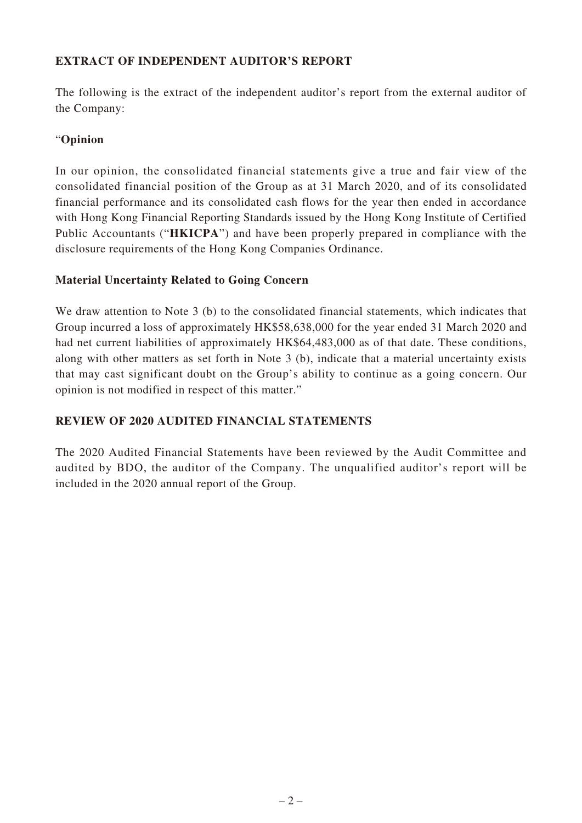## **EXTRACT OF INDEPENDENT AUDITOR'S REPORT**

The following is the extract of the independent auditor's report from the external auditor of the Company:

## "**Opinion**

In our opinion, the consolidated financial statements give a true and fair view of the consolidated financial position of the Group as at 31 March 2020, and of its consolidated financial performance and its consolidated cash flows for the year then ended in accordance with Hong Kong Financial Reporting Standards issued by the Hong Kong Institute of Certified Public Accountants ("**HKICPA**") and have been properly prepared in compliance with the disclosure requirements of the Hong Kong Companies Ordinance.

### **Material Uncertainty Related to Going Concern**

We draw attention to Note 3 (b) to the consolidated financial statements, which indicates that Group incurred a loss of approximately HK\$58,638,000 for the year ended 31 March 2020 and had net current liabilities of approximately HK\$64,483,000 as of that date. These conditions, along with other matters as set forth in Note 3 (b), indicate that a material uncertainty exists that may cast significant doubt on the Group's ability to continue as a going concern. Our opinion is not modified in respect of this matter."

### **REVIEW OF 2020 AUDITED FINANCIAL STATEMENTS**

The 2020 Audited Financial Statements have been reviewed by the Audit Committee and audited by BDO, the auditor of the Company. The unqualified auditor's report will be included in the 2020 annual report of the Group.